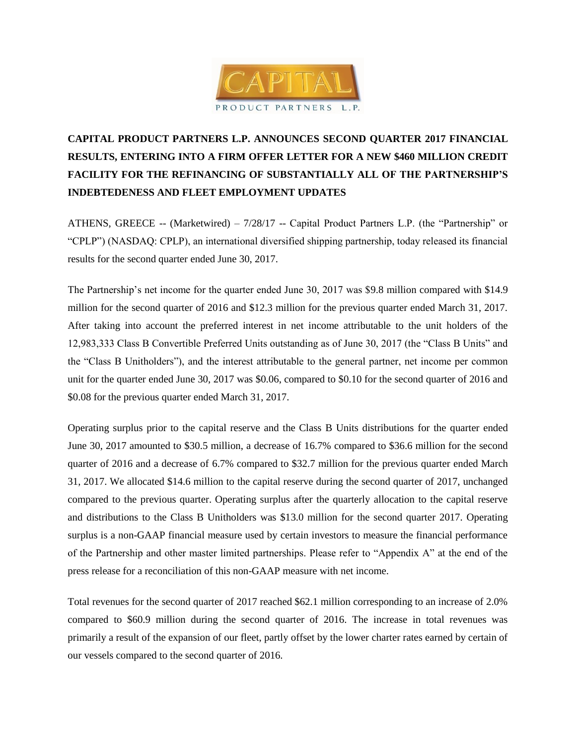

# **CAPITAL PRODUCT PARTNERS L.P. ANNOUNCES SECOND QUARTER 2017 FINANCIAL RESULTS, ENTERING INTO A FIRM OFFER LETTER FOR A NEW \$460 MILLION CREDIT FACILITY FOR THE REFINANCING OF SUBSTANTIALLY ALL OF THE PARTNERSHIP'S INDEBTEDENESS AND FLEET EMPLOYMENT UPDATES**

ATHENS, GREECE -- (Marketwired) – 7/28/17 -- Capital Product Partners L.P. (the "Partnership" or "CPLP") (NASDAQ: CPLP), an international diversified shipping partnership, today released its financial results for the second quarter ended June 30, 2017.

The Partnership's net income for the quarter ended June 30, 2017 was \$9.8 million compared with \$14.9 million for the second quarter of 2016 and \$12.3 million for the previous quarter ended March 31, 2017. After taking into account the preferred interest in net income attributable to the unit holders of the 12,983,333 Class B Convertible Preferred Units outstanding as of June 30, 2017 (the "Class B Units" and the "Class B Unitholders"), and the interest attributable to the general partner, net income per common unit for the quarter ended June 30, 2017 was \$0.06, compared to \$0.10 for the second quarter of 2016 and \$0.08 for the previous quarter ended March 31, 2017.

Operating surplus prior to the capital reserve and the Class B Units distributions for the quarter ended June 30, 2017 amounted to \$30.5 million, a decrease of 16.7% compared to \$36.6 million for the second quarter of 2016 and a decrease of 6.7% compared to \$32.7 million for the previous quarter ended March 31, 2017. We allocated \$14.6 million to the capital reserve during the second quarter of 2017, unchanged compared to the previous quarter. Operating surplus after the quarterly allocation to the capital reserve and distributions to the Class B Unitholders was \$13.0 million for the second quarter 2017. Operating surplus is a non-GAAP financial measure used by certain investors to measure the financial performance of the Partnership and other master limited partnerships. Please refer to "Appendix A" at the end of the press release for a reconciliation of this non-GAAP measure with net income.

Total revenues for the second quarter of 2017 reached \$62.1 million corresponding to an increase of 2.0% compared to \$60.9 million during the second quarter of 2016. The increase in total revenues was primarily a result of the expansion of our fleet, partly offset by the lower charter rates earned by certain of our vessels compared to the second quarter of 2016.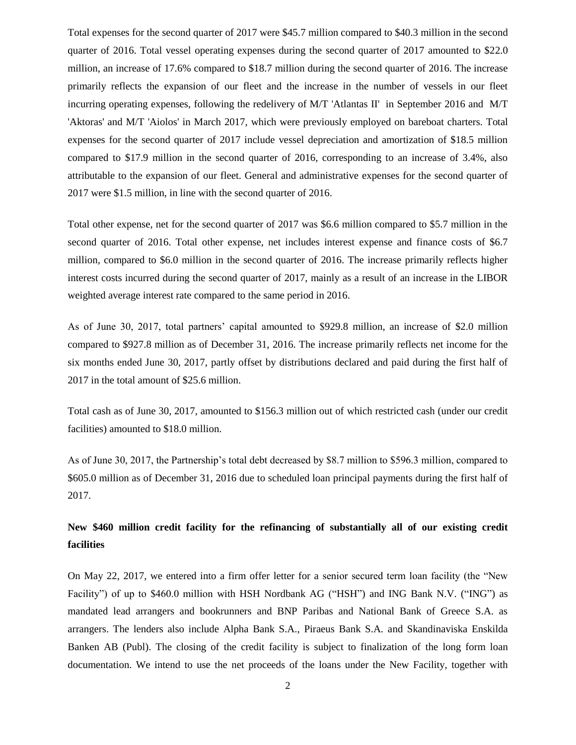Total expenses for the second quarter of 2017 were \$45.7 million compared to \$40.3 million in the second quarter of 2016. Total vessel operating expenses during the second quarter of 2017 amounted to \$22.0 million, an increase of 17.6% compared to \$18.7 million during the second quarter of 2016. The increase primarily reflects the expansion of our fleet and the increase in the number of vessels in our fleet incurring operating expenses, following the redelivery of M/T 'Atlantas II' in September 2016 and M/T 'Aktoras' and M/T 'Aiolos' in March 2017, which were previously employed on bareboat charters. Total expenses for the second quarter of 2017 include vessel depreciation and amortization of \$18.5 million compared to \$17.9 million in the second quarter of 2016, corresponding to an increase of 3.4%, also attributable to the expansion of our fleet. General and administrative expenses for the second quarter of 2017 were \$1.5 million, in line with the second quarter of 2016.

Total other expense, net for the second quarter of 2017 was \$6.6 million compared to \$5.7 million in the second quarter of 2016. Total other expense, net includes interest expense and finance costs of \$6.7 million, compared to \$6.0 million in the second quarter of 2016. The increase primarily reflects higher interest costs incurred during the second quarter of 2017, mainly as a result of an increase in the LIBOR weighted average interest rate compared to the same period in 2016.

As of June 30, 2017, total partners' capital amounted to \$929.8 million, an increase of \$2.0 million compared to \$927.8 million as of December 31, 2016. The increase primarily reflects net income for the six months ended June 30, 2017, partly offset by distributions declared and paid during the first half of 2017 in the total amount of \$25.6 million.

Total cash as of June 30, 2017, amounted to \$156.3 million out of which restricted cash (under our credit facilities) amounted to \$18.0 million.

As of June 30, 2017, the Partnership's total debt decreased by \$8.7 million to \$596.3 million, compared to \$605.0 million as of December 31, 2016 due to scheduled loan principal payments during the first half of 2017.

**New \$460 million credit facility for the refinancing of substantially all of our existing credit facilities** 

On May 22, 2017, we entered into a firm offer letter for a senior secured term loan facility (the "New Facility") of up to \$460.0 million with HSH Nordbank AG ("HSH") and ING Bank N.V. ("ING") as mandated lead arrangers and bookrunners and BNP Paribas and National Bank of Greece S.A. as arrangers. The lenders also include Alpha Bank S.A., Piraeus Bank S.A. and Skandinaviska Enskilda Banken AB (Publ). The closing of the credit facility is subject to finalization of the long form loan documentation. We intend to use the net proceeds of the loans under the New Facility, together with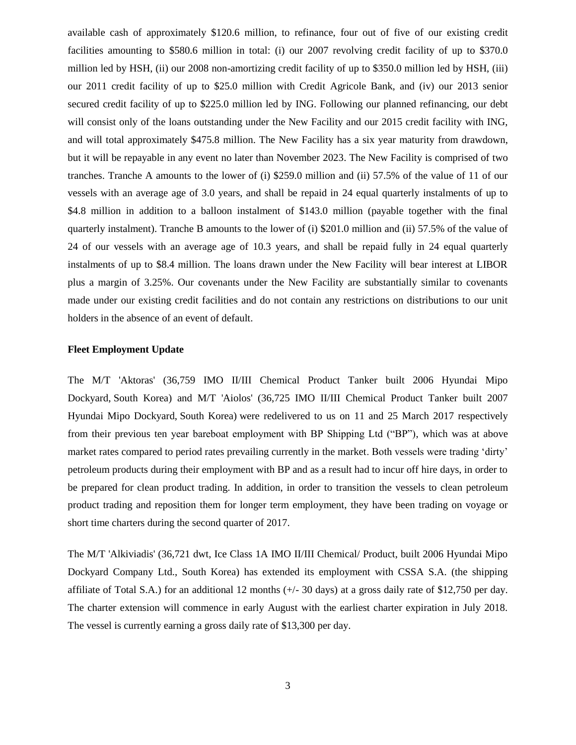available cash of approximately \$120.6 million, to refinance, four out of five of our existing credit facilities amounting to \$580.6 million in total: (i) our 2007 revolving credit facility of up to \$370.0 million led by HSH, (ii) our 2008 non-amortizing credit facility of up to \$350.0 million led by HSH, (iii) our 2011 credit facility of up to \$25.0 million with Credit Agricole Bank, and (iv) our 2013 senior secured credit facility of up to \$225.0 million led by ING. Following our planned refinancing, our debt will consist only of the loans outstanding under the New Facility and our 2015 credit facility with ING, and will total approximately \$475.8 million. The New Facility has a six year maturity from drawdown, but it will be repayable in any event no later than November 2023. The New Facility is comprised of two tranches. Tranche A amounts to the lower of (i) \$259.0 million and (ii) 57.5% of the value of 11 of our vessels with an average age of 3.0 years, and shall be repaid in 24 equal quarterly instalments of up to \$4.8 million in addition to a balloon instalment of \$143.0 million (payable together with the final quarterly instalment). Tranche B amounts to the lower of (i) \$201.0 million and (ii) 57.5% of the value of 24 of our vessels with an average age of 10.3 years, and shall be repaid fully in 24 equal quarterly instalments of up to \$8.4 million. The loans drawn under the New Facility will bear interest at LIBOR plus a margin of 3.25%. Our covenants under the New Facility are substantially similar to covenants made under our existing credit facilities and do not contain any restrictions on distributions to our unit holders in the absence of an event of default.

# **Fleet Employment Update**

The M/T 'Aktoras' (36,759 IMO II/III Chemical Product Tanker built 2006 Hyundai Mipo Dockyard, South Korea) and M/T 'Aiolos' (36,725 IMO II/III Chemical Product Tanker built 2007 Hyundai Mipo Dockyard, South Korea) were redelivered to us on 11 and 25 March 2017 respectively from their previous ten year bareboat employment with BP Shipping Ltd ("BP"), which was at above market rates compared to period rates prevailing currently in the market. Both vessels were trading 'dirty' petroleum products during their employment with BP and as a result had to incur off hire days, in order to be prepared for clean product trading. In addition, in order to transition the vessels to clean petroleum product trading and reposition them for longer term employment, they have been trading on voyage or short time charters during the second quarter of 2017.

The M/T 'Alkiviadis' (36,721 dwt, Ice Class 1A IMO II/III Chemical/ Product, built 2006 Hyundai Mipo Dockyard Company Ltd., South Korea) has extended its employment with CSSA S.A. (the shipping affiliate of Total S.A.) for an additional 12 months (+/- 30 days) at a gross daily rate of \$12,750 per day. The charter extension will commence in early August with the earliest charter expiration in July 2018. The vessel is currently earning a gross daily rate of \$13,300 per day.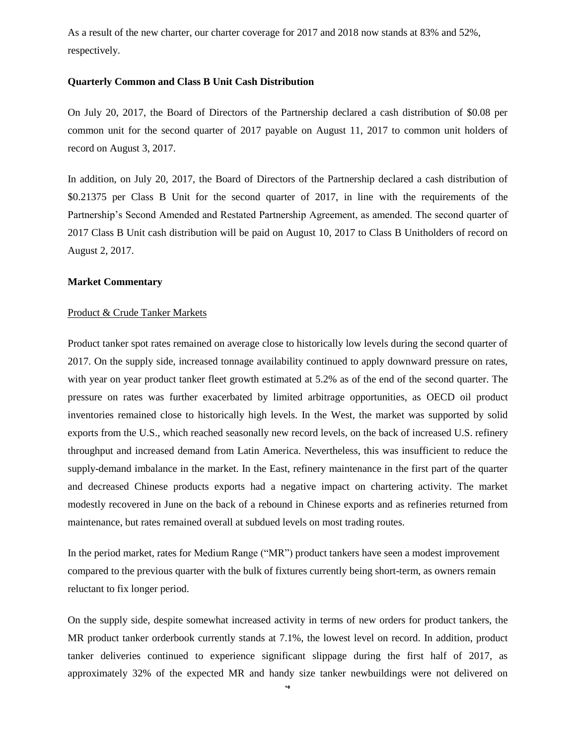As a result of the new charter, our charter coverage for 2017 and 2018 now stands at 83% and 52%, respectively.

### **Quarterly Common and Class B Unit Cash Distribution**

On July 20, 2017, the Board of Directors of the Partnership declared a cash distribution of \$0.08 per common unit for the second quarter of 2017 payable on August 11, 2017 to common unit holders of record on August 3, 2017.

In addition, on July 20, 2017, the Board of Directors of the Partnership declared a cash distribution of \$0.21375 per Class B Unit for the second quarter of 2017, in line with the requirements of the Partnership's Second Amended and Restated Partnership Agreement, as amended. The second quarter of 2017 Class B Unit cash distribution will be paid on August 10, 2017 to Class B Unitholders of record on August 2, 2017.

#### **Market Commentary**

### Product & Crude Tanker Markets

Product tanker spot rates remained on average close to historically low levels during the second quarter of 2017. On the supply side, increased tonnage availability continued to apply downward pressure on rates, with year on year product tanker fleet growth estimated at 5.2% as of the end of the second quarter. The pressure on rates was further exacerbated by limited arbitrage opportunities, as OECD oil product inventories remained close to historically high levels. In the West, the market was supported by solid exports from the U.S., which reached seasonally new record levels, on the back of increased U.S. refinery throughput and increased demand from Latin America. Nevertheless, this was insufficient to reduce the supply-demand imbalance in the market. In the East, refinery maintenance in the first part of the quarter and decreased Chinese products exports had a negative impact on chartering activity. The market modestly recovered in June on the back of a rebound in Chinese exports and as refineries returned from maintenance, but rates remained overall at subdued levels on most trading routes.

In the period market, rates for Medium Range ("MR") product tankers have seen a modest improvement compared to the previous quarter with the bulk of fixtures currently being short-term, as owners remain reluctant to fix longer period.

On the supply side, despite somewhat increased activity in terms of new orders for product tankers, the MR product tanker orderbook currently stands at 7.1%, the lowest level on record. In addition, product tanker deliveries continued to experience significant slippage during the first half of 2017, as approximately 32% of the expected MR and handy size tanker newbuildings were not delivered on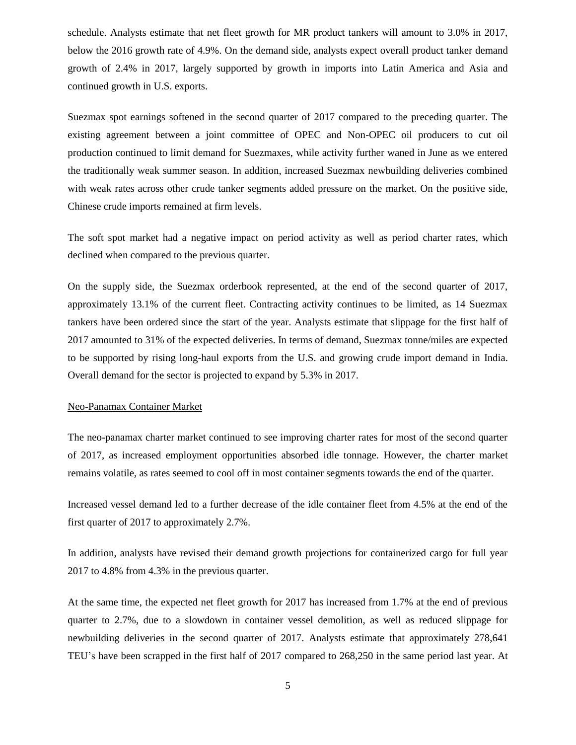schedule. Analysts estimate that net fleet growth for MR product tankers will amount to 3.0% in 2017, below the 2016 growth rate of 4.9%. On the demand side, analysts expect overall product tanker demand growth of 2.4% in 2017, largely supported by growth in imports into Latin America and Asia and continued growth in U.S. exports.

Suezmax spot earnings softened in the second quarter of 2017 compared to the preceding quarter. The existing agreement between a joint committee of OPEC and Non-OPEC oil producers to cut oil production continued to limit demand for Suezmaxes, while activity further waned in June as we entered the traditionally weak summer season. In addition, increased Suezmax newbuilding deliveries combined with weak rates across other crude tanker segments added pressure on the market. On the positive side, Chinese crude imports remained at firm levels.

The soft spot market had a negative impact on period activity as well as period charter rates, which declined when compared to the previous quarter.

On the supply side, the Suezmax orderbook represented, at the end of the second quarter of 2017, approximately 13.1% of the current fleet. Contracting activity continues to be limited, as 14 Suezmax tankers have been ordered since the start of the year. Analysts estimate that slippage for the first half of 2017 amounted to 31% of the expected deliveries. In terms of demand, Suezmax tonne/miles are expected to be supported by rising long-haul exports from the U.S. and growing crude import demand in India. Overall demand for the sector is projected to expand by 5.3% in 2017.

### Neo-Panamax Container Market

The neo-panamax charter market continued to see improving charter rates for most of the second quarter of 2017, as increased employment opportunities absorbed idle tonnage. However, the charter market remains volatile, as rates seemed to cool off in most container segments towards the end of the quarter.

Increased vessel demand led to a further decrease of the idle container fleet from 4.5% at the end of the first quarter of 2017 to approximately 2.7%.

In addition, analysts have revised their demand growth projections for containerized cargo for full year 2017 to 4.8% from 4.3% in the previous quarter.

At the same time, the expected net fleet growth for 2017 has increased from 1.7% at the end of previous quarter to 2.7%, due to a slowdown in container vessel demolition, as well as reduced slippage for newbuilding deliveries in the second quarter of 2017. Analysts estimate that approximately 278,641 TEU's have been scrapped in the first half of 2017 compared to 268,250 in the same period last year. At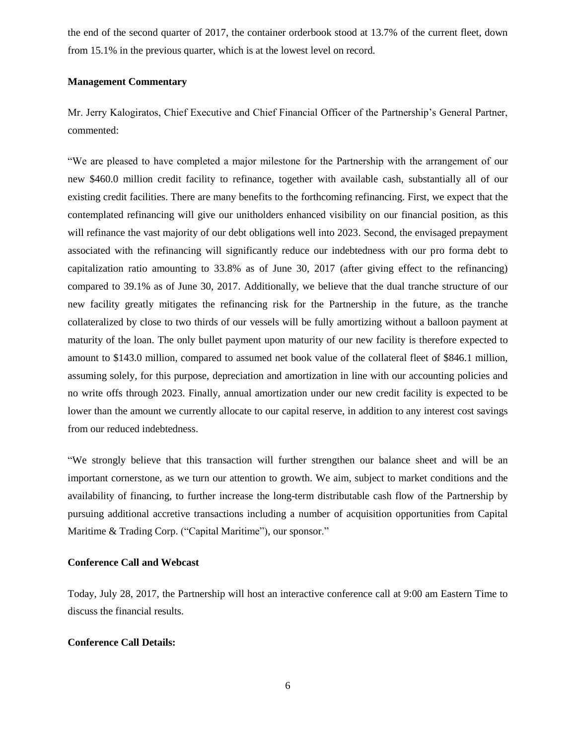the end of the second quarter of 2017, the container orderbook stood at 13.7% of the current fleet, down from 15.1% in the previous quarter, which is at the lowest level on record.

## **Management Commentary**

Mr. Jerry Kalogiratos, Chief Executive and Chief Financial Officer of the Partnership's General Partner, commented:

"We are pleased to have completed a major milestone for the Partnership with the arrangement of our new \$460.0 million credit facility to refinance, together with available cash, substantially all of our existing credit facilities. There are many benefits to the forthcoming refinancing. First, we expect that the contemplated refinancing will give our unitholders enhanced visibility on our financial position, as this will refinance the vast majority of our debt obligations well into 2023. Second, the envisaged prepayment associated with the refinancing will significantly reduce our indebtedness with our pro forma debt to capitalization ratio amounting to 33.8% as of June 30, 2017 (after giving effect to the refinancing) compared to 39.1% as of June 30, 2017. Additionally, we believe that the dual tranche structure of our new facility greatly mitigates the refinancing risk for the Partnership in the future, as the tranche collateralized by close to two thirds of our vessels will be fully amortizing without a balloon payment at maturity of the loan. The only bullet payment upon maturity of our new facility is therefore expected to amount to \$143.0 million, compared to assumed net book value of the collateral fleet of \$846.1 million, assuming solely, for this purpose, depreciation and amortization in line with our accounting policies and no write offs through 2023. Finally, annual amortization under our new credit facility is expected to be lower than the amount we currently allocate to our capital reserve, in addition to any interest cost savings from our reduced indebtedness.

"We strongly believe that this transaction will further strengthen our balance sheet and will be an important cornerstone, as we turn our attention to growth. We aim, subject to market conditions and the availability of financing, to further increase the long-term distributable cash flow of the Partnership by pursuing additional accretive transactions including a number of acquisition opportunities from Capital Maritime & Trading Corp. ("Capital Maritime"), our sponsor."

#### **Conference Call and Webcast**

Today, July 28, 2017, the Partnership will host an interactive conference call at 9:00 am Eastern Time to discuss the financial results.

#### **Conference Call Details:**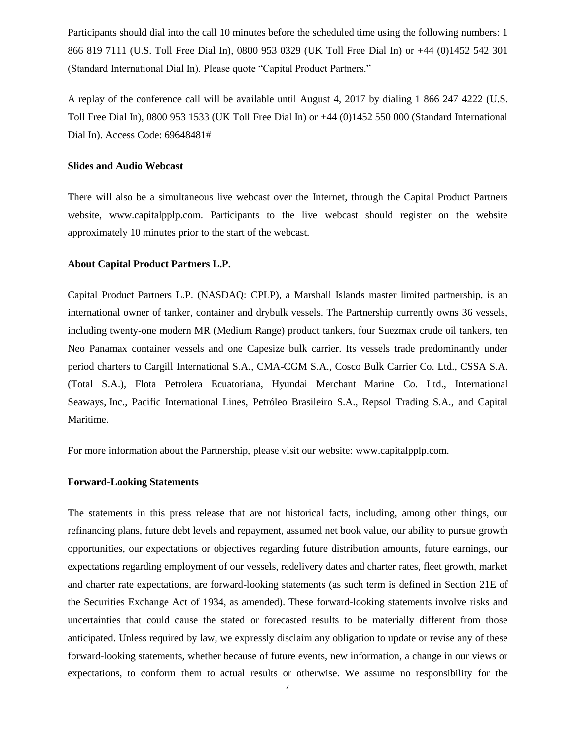Participants should dial into the call 10 minutes before the scheduled time using the following numbers: 1 866 819 7111 (U.S. Toll Free Dial In), 0800 953 0329 (UK Toll Free Dial In) or +44 (0)1452 542 301 (Standard International Dial In). Please quote "Capital Product Partners."

A replay of the conference call will be available until August 4, 2017 by dialing 1 866 247 4222 (U.S. Toll Free Dial In), 0800 953 1533 (UK Toll Free Dial In) or +44 (0)1452 550 000 (Standard International Dial In). Access Code: 69648481#

## **Slides and Audio Webcast**

There will also be a simultaneous live webcast over the Internet, through the Capital Product Partners website, www.capitalpplp.com. Participants to the live webcast should register on the website approximately 10 minutes prior to the start of the webcast.

# **About Capital Product Partners L.P.**

Capital Product Partners L.P. (NASDAQ: CPLP), a Marshall Islands master limited partnership, is an international owner of tanker, container and drybulk vessels. The Partnership currently owns 36 vessels, including twenty-one modern MR (Medium Range) product tankers, four Suezmax crude oil tankers, ten Neo Panamax container vessels and one Capesize bulk carrier. Its vessels trade predominantly under period charters to Cargill International S.A., CMA-CGM S.A., Cosco Bulk Carrier Co. Ltd., CSSA S.A. (Total S.A.), Flota Petrolera Ecuatoriana, Hyundai Merchant Marine Co. Ltd., International Seaways, Inc., Pacific International Lines, Petróleo Brasileiro S.A., Repsol Trading S.A., and Capital Maritime.

For more information about the Partnership, please visit our website: www.capitalpplp.com.

# **Forward-Looking Statements**

The statements in this press release that are not historical facts, including, among other things, our refinancing plans, future debt levels and repayment, assumed net book value, our ability to pursue growth opportunities, our expectations or objectives regarding future distribution amounts, future earnings, our expectations regarding employment of our vessels, redelivery dates and charter rates, fleet growth, market and charter rate expectations, are forward-looking statements (as such term is defined in Section 21E of the Securities Exchange Act of 1934, as amended). These forward-looking statements involve risks and uncertainties that could cause the stated or forecasted results to be materially different from those anticipated. Unless required by law, we expressly disclaim any obligation to update or revise any of these forward-looking statements, whether because of future events, new information, a change in our views or expectations, to conform them to actual results or otherwise. We assume no responsibility for the

7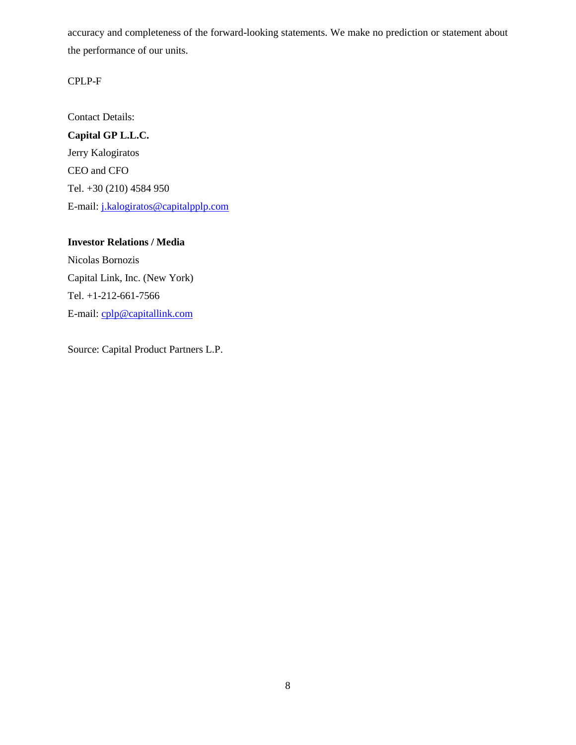accuracy and completeness of the forward-looking statements. We make no prediction or statement about the performance of our units.

# CPLP-F

Contact Details: **Capital GP L.L.C.** Jerry Kalogiratos CEO and CFO Tel. +30 (210) 4584 950 E-mail: j.kalogiratos@capitalpplp.com

**Investor Relations / Media** Nicolas Bornozis Capital Link, Inc. (New York) Tel. +1-212-661-7566 E-mail: cplp@capitallink.com

Source: Capital Product Partners L.P.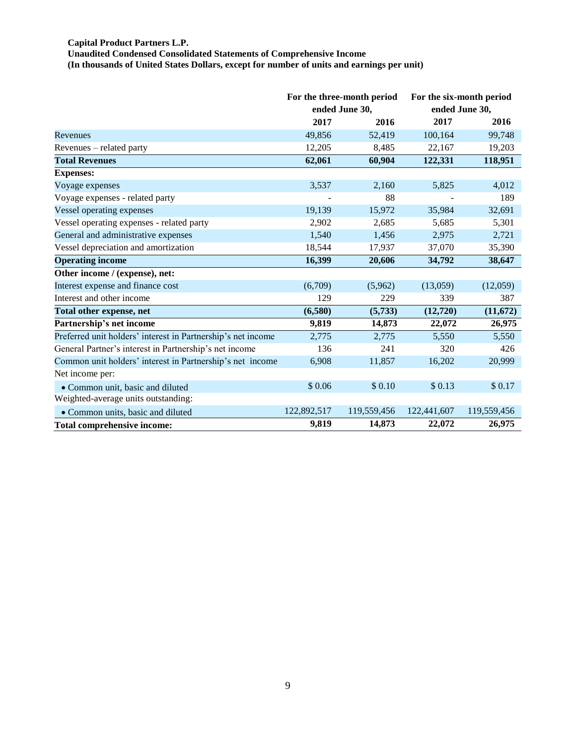#### **Capital Product Partners L.P.**

**Unaudited Condensed Consolidated Statements of Comprehensive Income**

**(In thousands of United States Dollars, except for number of units and earnings per unit)**

|                                                              | For the three-month period<br>ended June 30, |             | For the six-month period |             |  |
|--------------------------------------------------------------|----------------------------------------------|-------------|--------------------------|-------------|--|
|                                                              |                                              |             | ended June 30,           |             |  |
|                                                              | 2017                                         | 2016        | 2017                     | 2016        |  |
| Revenues                                                     | 49,856                                       | 52,419      | 100,164                  | 99,748      |  |
| Revenues – related party                                     | 12,205                                       | 8,485       | 22,167                   | 19,203      |  |
| <b>Total Revenues</b>                                        | 62,061                                       | 60,904      | 122,331                  | 118,951     |  |
| <b>Expenses:</b>                                             |                                              |             |                          |             |  |
| Voyage expenses                                              | 3,537                                        | 2,160       | 5,825                    | 4,012       |  |
| Voyage expenses - related party                              |                                              | 88          |                          | 189         |  |
| Vessel operating expenses                                    | 19,139                                       | 15,972      | 35,984                   | 32,691      |  |
| Vessel operating expenses - related party                    | 2,902                                        | 2,685       | 5,685                    | 5,301       |  |
| General and administrative expenses                          | 1,540                                        | 1,456       | 2,975                    | 2,721       |  |
| Vessel depreciation and amortization                         | 18,544                                       | 17,937      | 37,070                   | 35,390      |  |
| <b>Operating income</b>                                      | 16,399                                       | 20,606      | 34,792                   | 38,647      |  |
| Other income / (expense), net:                               |                                              |             |                          |             |  |
| Interest expense and finance cost                            | (6,709)                                      | (5,962)     | (13,059)                 | (12,059)    |  |
| Interest and other income                                    | 129                                          | 229         | 339                      | 387         |  |
| Total other expense, net                                     | (6,580)                                      | (5,733)     | (12,720)                 | (11,672)    |  |
| Partnership's net income                                     | 9,819                                        | 14,873      | 22,072                   | 26,975      |  |
| Preferred unit holders' interest in Partnership's net income | 2,775                                        | 2,775       | 5,550                    | 5,550       |  |
| General Partner's interest in Partnership's net income       | 136                                          | 241         | 320                      | 426         |  |
| Common unit holders' interest in Partnership's net income    | 6,908                                        | 11,857      | 16,202                   | 20,999      |  |
| Net income per:                                              |                                              |             |                          |             |  |
| • Common unit, basic and diluted                             | \$0.06                                       | \$0.10      | \$0.13                   | \$0.17      |  |
| Weighted-average units outstanding:                          |                                              |             |                          |             |  |
| • Common units, basic and diluted                            | 122,892,517                                  | 119,559,456 | 122,441,607              | 119,559,456 |  |
| <b>Total comprehensive income:</b>                           | 9,819                                        | 14,873      | 22,072                   | 26,975      |  |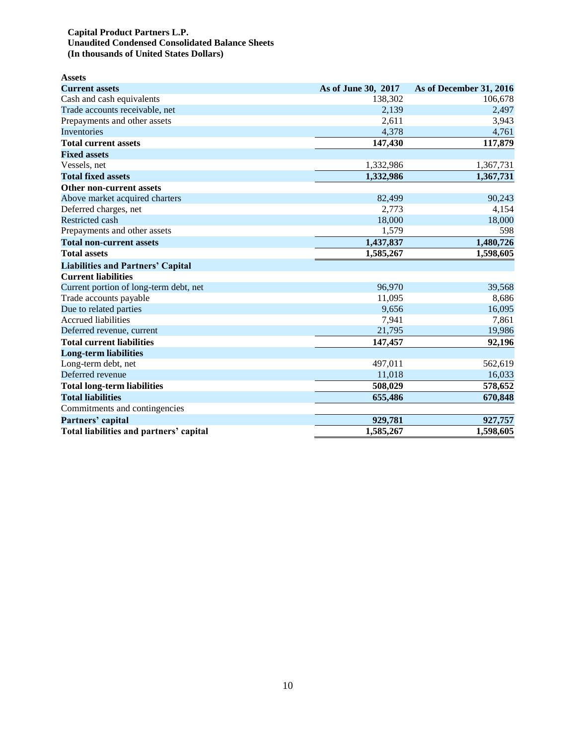## **Capital Product Partners L.P. Unaudited Condensed Consolidated Balance Sheets (In thousands of United States Dollars)**

| <b>Assets</b>                            |                     |                         |
|------------------------------------------|---------------------|-------------------------|
| <b>Current assets</b>                    | As of June 30, 2017 | As of December 31, 2016 |
| Cash and cash equivalents                | 138,302             | 106,678                 |
| Trade accounts receivable, net           | 2,139               | 2,497                   |
| Prepayments and other assets             | 2,611               | 3,943                   |
| Inventories                              | 4,378               | 4,761                   |
| <b>Total current assets</b>              | 147,430             | 117,879                 |
| <b>Fixed assets</b>                      |                     |                         |
| Vessels, net                             | 1,332,986           | 1,367,731               |
| <b>Total fixed assets</b>                | 1,332,986           | 1,367,731               |
| <b>Other non-current assets</b>          |                     |                         |
| Above market acquired charters           | 82,499              | 90,243                  |
| Deferred charges, net                    | 2,773               | 4,154                   |
| Restricted cash                          | 18,000              | 18,000                  |
| Prepayments and other assets             | 1,579               | 598                     |
| <b>Total non-current assets</b>          | 1,437,837           | 1,480,726               |
| <b>Total assets</b>                      | 1,585,267           | 1,598,605               |
| <b>Liabilities and Partners' Capital</b> |                     |                         |
| <b>Current liabilities</b>               |                     |                         |
| Current portion of long-term debt, net   | 96,970              | 39,568                  |
| Trade accounts payable                   | 11,095              | 8,686                   |
| Due to related parties                   | 9,656               | 16,095                  |
| <b>Accrued liabilities</b>               | 7,941               | 7,861                   |
| Deferred revenue, current                | 21,795              | 19,986                  |
| <b>Total current liabilities</b>         | 147,457             | 92,196                  |
| <b>Long-term liabilities</b>             |                     |                         |
| Long-term debt, net                      | 497,011             | 562,619                 |
| Deferred revenue                         | 11,018              | 16,033                  |
| <b>Total long-term liabilities</b>       | 508,029             | 578,652                 |
| <b>Total liabilities</b>                 | 655,486             | 670,848                 |
| Commitments and contingencies            |                     |                         |
| Partners' capital                        | 929,781             | 927,757                 |
| Total liabilities and partners' capital  | 1,585,267           | 1,598,605               |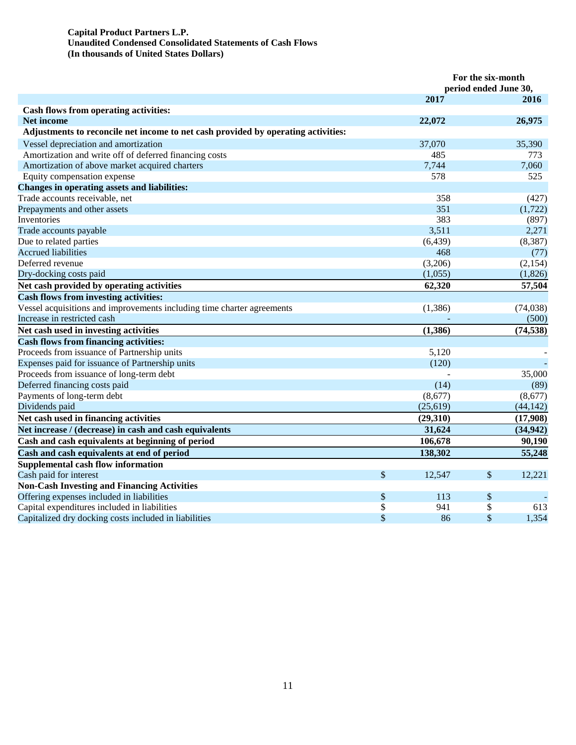## **Capital Product Partners L.P. Unaudited Condensed Consolidated Statements of Cash Flows (In thousands of United States Dollars)**

|                                                                                   |               | For the six-month<br>period ended June 30, |               |           |  |
|-----------------------------------------------------------------------------------|---------------|--------------------------------------------|---------------|-----------|--|
|                                                                                   |               | 2017                                       |               | 2016      |  |
| Cash flows from operating activities:                                             |               |                                            |               |           |  |
| Net income                                                                        |               | 22,072                                     |               | 26,975    |  |
| Adjustments to reconcile net income to net cash provided by operating activities: |               |                                            |               |           |  |
| Vessel depreciation and amortization                                              |               | 37,070                                     |               | 35,390    |  |
| Amortization and write off of deferred financing costs                            |               | 485                                        |               | 773       |  |
| Amortization of above market acquired charters                                    |               | 7,744                                      |               | 7,060     |  |
| Equity compensation expense                                                       |               | 578                                        |               | 525       |  |
| <b>Changes in operating assets and liabilities:</b>                               |               |                                            |               |           |  |
| Trade accounts receivable, net                                                    |               | 358                                        |               | (427)     |  |
| Prepayments and other assets                                                      |               | 351                                        |               | (1, 722)  |  |
| Inventories                                                                       |               | 383                                        |               | (897)     |  |
| Trade accounts payable                                                            |               | 3,511                                      |               | 2,271     |  |
| Due to related parties                                                            |               | (6, 439)                                   |               | (8, 387)  |  |
| <b>Accrued liabilities</b>                                                        |               | 468                                        |               | (77)      |  |
| Deferred revenue                                                                  |               | (3,206)                                    |               | (2,154)   |  |
| Dry-docking costs paid                                                            |               | (1,055)                                    |               | (1,826)   |  |
| Net cash provided by operating activities                                         |               | 62,320                                     |               | 57,504    |  |
| <b>Cash flows from investing activities:</b>                                      |               |                                            |               |           |  |
| Vessel acquisitions and improvements including time charter agreements            |               | (1,386)                                    |               | (74, 038) |  |
| Increase in restricted cash                                                       |               |                                            |               | (500)     |  |
| Net cash used in investing activities                                             |               | (1,386)                                    |               | (74, 538) |  |
| <b>Cash flows from financing activities:</b>                                      |               |                                            |               |           |  |
| Proceeds from issuance of Partnership units                                       |               | 5,120                                      |               |           |  |
| Expenses paid for issuance of Partnership units                                   |               | (120)                                      |               |           |  |
| Proceeds from issuance of long-term debt                                          |               |                                            |               | 35,000    |  |
| Deferred financing costs paid                                                     |               | (14)                                       |               | (89)      |  |
| Payments of long-term debt                                                        |               | (8,677)                                    |               | (8,677)   |  |
| Dividends paid                                                                    |               | (25, 619)                                  |               | (44, 142) |  |
| Net cash used in financing activities                                             |               | (29,310)                                   |               | (17,908)  |  |
| Net increase / (decrease) in cash and cash equivalents                            |               | 31,624                                     |               | (34, 942) |  |
| Cash and cash equivalents at beginning of period                                  |               | 106,678                                    |               | 90,190    |  |
| Cash and cash equivalents at end of period                                        |               | 138,302                                    |               | 55,248    |  |
| <b>Supplemental cash flow information</b>                                         |               |                                            |               |           |  |
| Cash paid for interest                                                            | $\mathcal{S}$ | 12,547                                     | $\mathcal{S}$ | 12,221    |  |
| <b>Non-Cash Investing and Financing Activities</b>                                |               |                                            |               |           |  |
| Offering expenses included in liabilities                                         | \$            | 113                                        | \$            |           |  |
| Capital expenditures included in liabilities                                      | \$            | 941                                        | \$            | 613       |  |
| Capitalized dry docking costs included in liabilities                             | \$            | 86                                         | \$            | 1,354     |  |